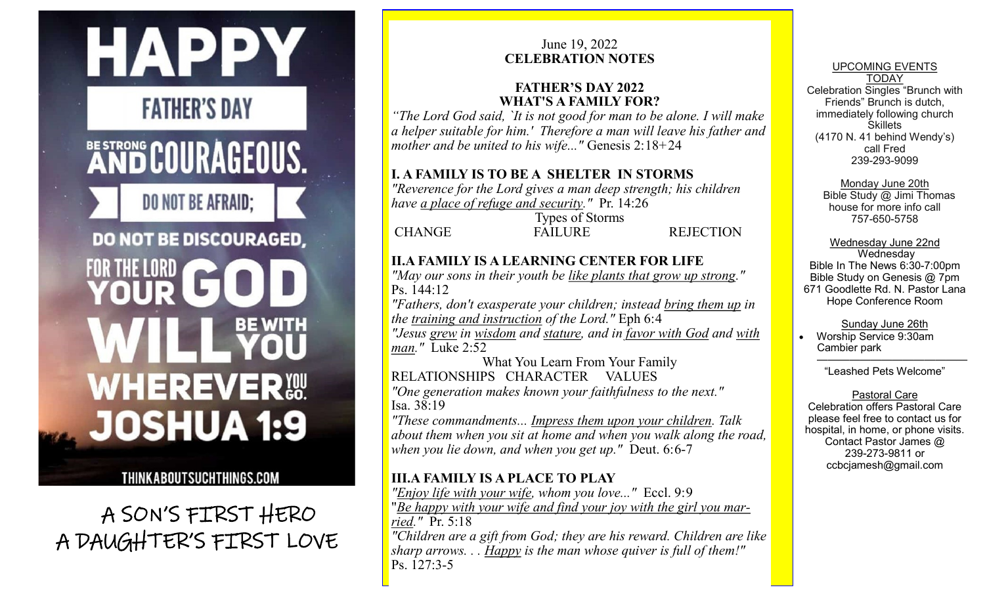

THINKABOUTSUCHTHINGS.COM

 A SON'S FIRST HERO A DAUGHTER'S FIRST LOVE

## June 19, 2022 **CELEBRATION NOTES**

### **FATHER'S DAY 2022 WHAT'S A FAMILY FOR?**

*"The Lord God said, `It is not good for man to be alone. I will make a helper suitable for him.' Therefore a man will leave his father and mother and be united to his wife..."* Genesis 2:18+24

## **I. A FAMILY IS TO BE A SHELTER IN STORMS**

*"Reverence for the Lord gives a man deep strength; his children have a place of refuge and security."* Pr. 14:26

Types of Storms CHANGE FAILURE REJECTION

# **II.A FAMILY IS A LEARNING CENTER FOR LIFE**

*"May our sons in their youth be like plants that grow up strong."* Ps. 144:12

*"Fathers, don't exasperate your children; instead bring them up in the training and instruction of the Lord."* Eph 6:4

*"Jesus grew in wisdom and stature, and in favor with God and with man."* Luke 2:52

What You Learn From Your Family RELATIONSHIPS CHARACTER VALUES

*"One generation makes known your faithfulness to the next."* Isa. 38:19

*"These commandments... Impress them upon your children. Talk about them when you sit at home and when you walk along the road, when you lie down, and when you get up."* Deut. 6:6-7

# **III.A FAMILY IS A PLACE TO PLAY**

*"Enjoy life with your wife, whom you love..."* Eccl. 9:9 "*Be happy with your wife and find your joy with the girl you married."* Pr. 5:18

*"Children are a gift from God; they are his reward. Children are like sharp arrows. . . Happy is the man whose quiver is full of them!"* Ps. 127:3-5

UPCOMING EVENTS TODAY Celebration Singles "Brunch with Friends" Brunch is dutch, immediately following church **Skillets** (4170 N. 41 behind Wendy's) call Fred 239-293-9099

Monday June 20th

 Bible Study @ Jimi Thomas house for more info call 757-650-5758

Wednesday June 22nd **Wednesday** Bible In The News 6:30-7:00pm Bible Study on Genesis @ 7pm 671 Goodlette Rd. N. Pastor Lana Hope Conference Room

Sunday June 26th

 Worship Service 9:30am Cambier park

 —————————————— "Leashed Pets Welcome"

Pastoral Care

Celebration offers Pastoral Care please feel free to contact us for hospital, in home, or phone visits. Contact Pastor James @ 239-273-9811 or ccbcjamesh@gmail.com